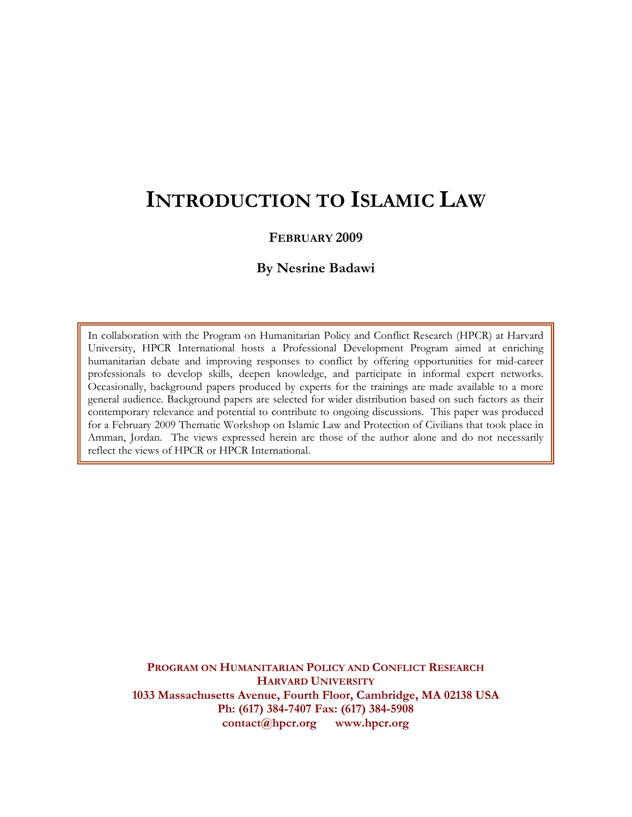# **INTRODUCTION TO ISLAMIC LAW**

#### **FEBRUARY 2009**

#### **By Nesrine Badawi**

In collaboration with the Program on Humanitarian Policy and Conflict Research (HPCR) at Harvard University, HPCR International hosts a Professional Development Program aimed at enriching humanitarian debate and improving responses to conflict by offering opportunities for mid-career professionals to develop skills, deepen knowledge, and participate in informal expert networks. Occasionally, background papers produced by experts for the trainings are made available to a more general audience. Background papers are selected for wider distribution based on such factors as their contemporary relevance and potential to contribute to ongoing discussions. This paper was produced for a February 2009 Thematic Workshop on Islamic Law and Protection of Civilians that took place in Amman, Jordan. The views expressed herein are those of the author alone and do not necessarily reflect the views of HPCR or HPCR International.

**PROGRAM ON HUMANITARIAN POLICY AND CONFLICT RESEARCH HARVARD UNIVERSITY 1033 Massachusetts Avenue, Fourth Floor, Cambridge, MA 02138 USA Ph: (617) 384-7407 Fax: (617) 384-5908 contact@hpcr.org www.hpcr.org**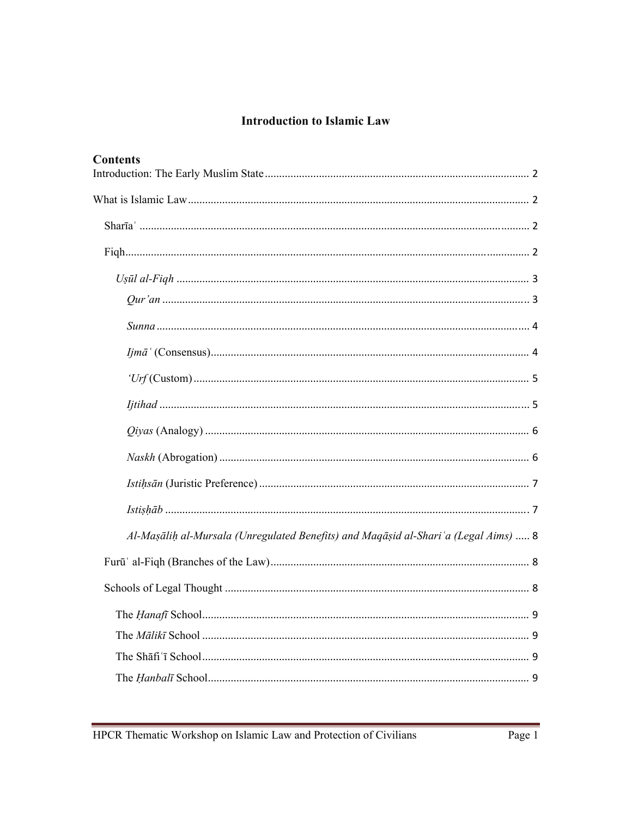# **Introduction to Islamic Law**

| <b>Contents</b>                                                                      |  |
|--------------------------------------------------------------------------------------|--|
|                                                                                      |  |
|                                                                                      |  |
|                                                                                      |  |
|                                                                                      |  |
|                                                                                      |  |
|                                                                                      |  |
|                                                                                      |  |
|                                                                                      |  |
|                                                                                      |  |
|                                                                                      |  |
|                                                                                      |  |
|                                                                                      |  |
|                                                                                      |  |
| Al-Mașālih al-Mursala (Unregulated Benefits) and Maqāșid al-Shari 'a (Legal Aims)  8 |  |
|                                                                                      |  |
|                                                                                      |  |
|                                                                                      |  |
|                                                                                      |  |
|                                                                                      |  |
|                                                                                      |  |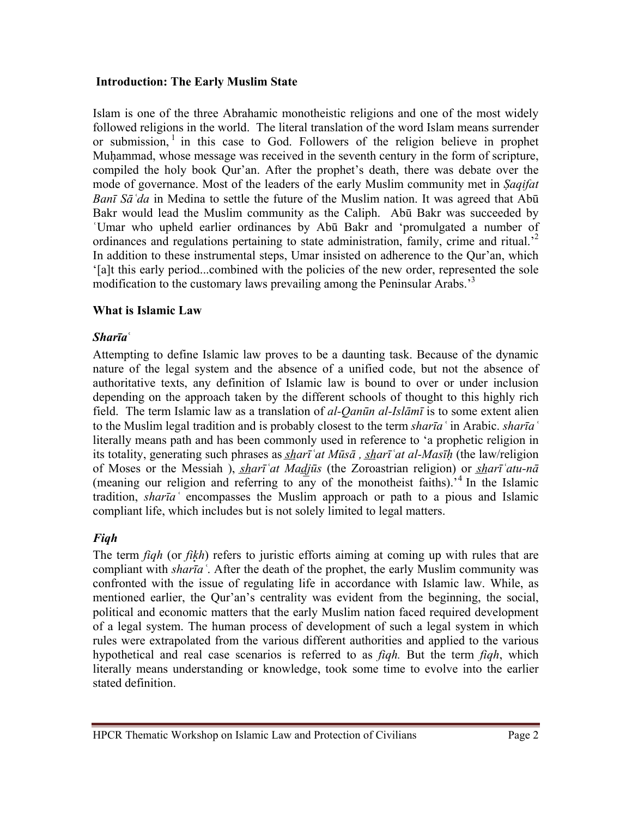#### **Introduction: The Early Muslim State**

Islam is one of the three Abrahamic monotheistic religions and one of the most widely followed religions in the world. The literal translation of the word Islam means surrender or submission,  $\frac{1}{1}$  in this case to God. Followers of the religion believe in prophet Muhammad, whose message was received in the seventh century in the form of scripture, compiled the holy book Qur'an. After the prophet's death, there was debate over the mode of governance. Most of the leaders of the early Muslim community met in *Ṣaqifat Banī Sāʿda* in Medina to settle the future of the Muslim nation. It was agreed that Abū Bakr would lead the Muslim community as the Caliph. Abū Bakr was succeeded by ʿUmar who upheld earlier ordinances by Abū Bakr and 'promulgated a number of ordinances and regulations pertaining to state administration, family, crime and ritual.<sup>2</sup> In addition to these instrumental steps, Umar insisted on adherence to the Qur'an, which '[a]t this early period...combined with the policies of the new order, represented the sole modification to the customary laws prevailing among the Peninsular Arabs.<sup>3</sup>

#### **What is Islamic Law**

### *Sharīa***ʿ**

Attempting to define Islamic law proves to be a daunting task. Because of the dynamic nature of the legal system and the absence of a unified code, but not the absence of authoritative texts, any definition of Islamic law is bound to over or under inclusion depending on the approach taken by the different schools of thought to this highly rich field. The term Islamic law as a translation of *al-Qanūn al-Islāmī* is to some extent alien to the Muslim legal tradition and is probably closest to the term *sharīaʿ* in Arabic. *sharīaʿ* literally means path and has been commonly used in reference to 'a prophetic religion in its totality, generating such phrases as *s̲h̲arīʿat Mūsā , s̲h̲arīʿat al-Masīḥ* (the law/religion of Moses or the Messiah ), *shari at Madjūs* (the Zoroastrian religion) or *shari atu-nā* (meaning our religion and referring to any of the monotheist faiths).<sup>4</sup> In the Islamic tradition, *sharīaʿ* encompasses the Muslim approach or path to a pious and Islamic compliant life, which includes but is not solely limited to legal matters.

### *Fiqh*

The term *figh* (or *fikh*) refers to juristic efforts aiming at coming up with rules that are compliant with *sharīaʿ*. After the death of the prophet, the early Muslim community was confronted with the issue of regulating life in accordance with Islamic law. While, as mentioned earlier, the Qur'an's centrality was evident from the beginning, the social, political and economic matters that the early Muslim nation faced required development of a legal system. The human process of development of such a legal system in which rules were extrapolated from the various different authorities and applied to the various hypothetical and real case scenarios is referred to as *fiqh.* But the term *fiqh*, which literally means understanding or knowledge, took some time to evolve into the earlier stated definition.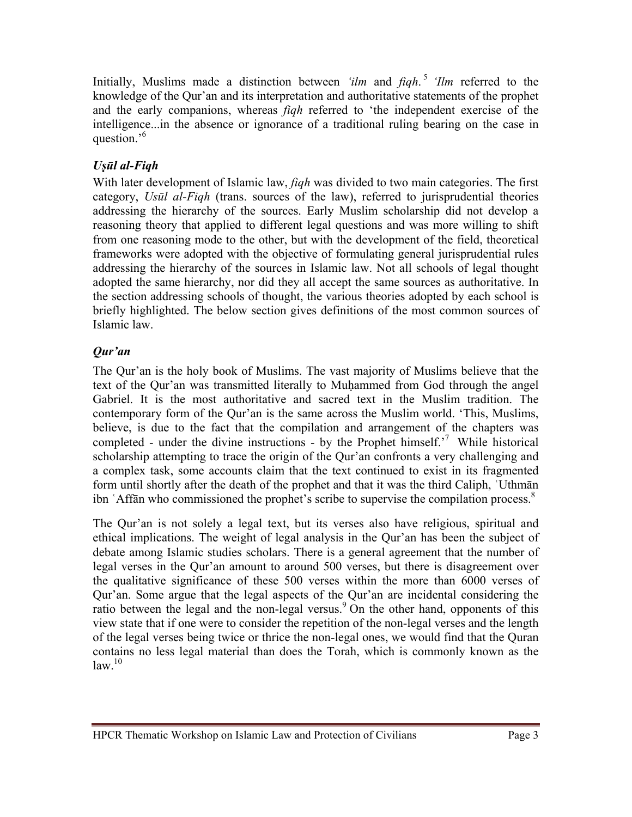Initially, Muslims made a distinction between *'ilm* and *fiqh*. <sup>5</sup> *'Ilm* referred to the knowledge of the Qur'an and its interpretation and authoritative statements of the prophet and the early companions, whereas *fiqh* referred to 'the independent exercise of the intelligence...in the absence or ignorance of a traditional ruling bearing on the case in question.<sup>6</sup>

# *Uṣūl al-Fiqh*

With later development of Islamic law, *fiqh* was divided to two main categories. The first category, *Usūl al-Fiqh* (trans. sources of the law), referred to jurisprudential theories addressing the hierarchy of the sources. Early Muslim scholarship did not develop a reasoning theory that applied to different legal questions and was more willing to shift from one reasoning mode to the other, but with the development of the field, theoretical frameworks were adopted with the objective of formulating general jurisprudential rules addressing the hierarchy of the sources in Islamic law. Not all schools of legal thought adopted the same hierarchy, nor did they all accept the same sources as authoritative. In the section addressing schools of thought, the various theories adopted by each school is briefly highlighted. The below section gives definitions of the most common sources of Islamic law.

# *Qur'an*

The Qur'an is the holy book of Muslims. The vast majority of Muslims believe that the text of the Qur'an was transmitted literally to Muḥammed from God through the angel Gabriel. It is the most authoritative and sacred text in the Muslim tradition. The contemporary form of the Qur'an is the same across the Muslim world. 'This, Muslims, believe, is due to the fact that the compilation and arrangement of the chapters was completed - under the divine instructions - by the Prophet himself.'7 While historical scholarship attempting to trace the origin of the Qur'an confronts a very challenging and a complex task, some accounts claim that the text continued to exist in its fragmented form until shortly after the death of the prophet and that it was the third Caliph, ʿUthmān ibn ʿAffān who commissioned the prophet's scribe to supervise the compilation process.8

The Qur'an is not solely a legal text, but its verses also have religious, spiritual and ethical implications. The weight of legal analysis in the Qur'an has been the subject of debate among Islamic studies scholars. There is a general agreement that the number of legal verses in the Qur'an amount to around 500 verses, but there is disagreement over the qualitative significance of these 500 verses within the more than 6000 verses of Qur'an. Some argue that the legal aspects of the Qur'an are incidental considering the ratio between the legal and the non-legal versus.<sup>9</sup> On the other hand, opponents of this view state that if one were to consider the repetition of the non-legal verses and the length of the legal verses being twice or thrice the non-legal ones, we would find that the Quran contains no less legal material than does the Torah, which is commonly known as the  $\rm{law}$ <sup>10</sup>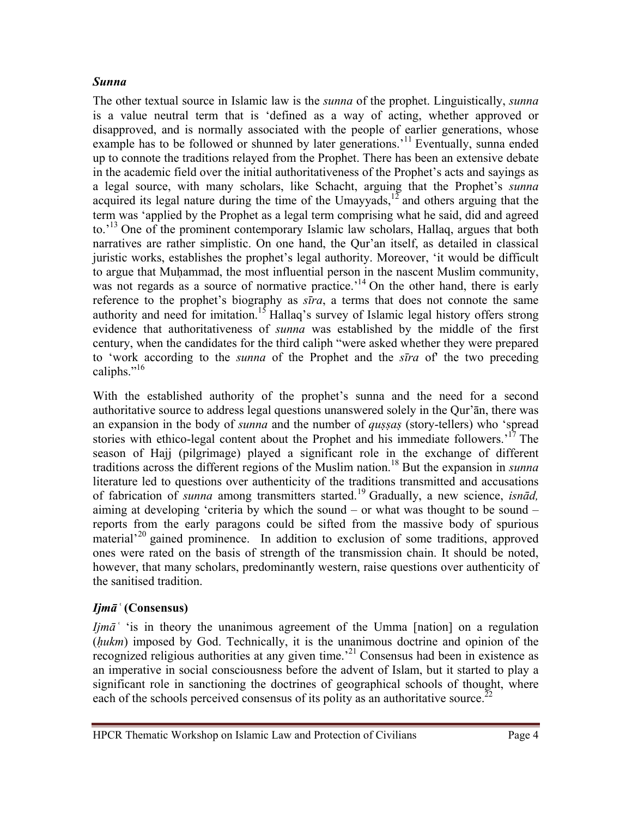#### *Sunna*

The other textual source in Islamic law is the *sunna* of the prophet. Linguistically, *sunna* is a value neutral term that is 'defined as a way of acting, whether approved or disapproved, and is normally associated with the people of earlier generations, whose example has to be followed or shunned by later generations.<sup>11</sup> Eventually, sunna ended up to connote the traditions relayed from the Prophet. There has been an extensive debate in the academic field over the initial authoritativeness of the Prophet's acts and sayings as a legal source, with many scholars, like Schacht, arguing that the Prophet's *sunna* a regar source, when many sensoring, the Umayyads,<sup>12</sup> and others arguing that the term was 'applied by the Prophet as a legal term comprising what he said, did and agreed to.<sup>13</sup> One of the prominent contemporary Islamic law scholars, Hallaq, argues that both narratives are rather simplistic. On one hand, the Qur'an itself, as detailed in classical juristic works, establishes the prophet's legal authority. Moreover, 'it would be difficult to argue that Muḥammad, the most influential person in the nascent Muslim community, was not regards as a source of normative practice.<sup>14</sup> On the other hand, there is early reference to the prophet's biography as *sīra*, a terms that does not connote the same authority and need for imitation.<sup>15</sup> Hallaq's survey of Islamic legal history offers strong evidence that authoritativeness of *sunna* was established by the middle of the first century, when the candidates for the third caliph "were asked whether they were prepared to 'work according to the *sunna* of the Prophet and the *sīra* of' the two preceding caliphs." $16$ 

With the established authority of the prophet's sunna and the need for a second authoritative source to address legal questions unanswered solely in the Qur'ān, there was an expansion in the body of *sunna* and the number of *qussas* (story-tellers) who 'spread stories with ethico-legal content about the Prophet and his immediate followers.<sup>'17</sup> The season of Hajj (pilgrimage) played a significant role in the exchange of different traditions across the different regions of the Muslim nation.18 But the expansion in *sunna* literature led to questions over authenticity of the traditions transmitted and accusations of fabrication of *sunna* among transmitters started.19 Gradually, a new science, *isnād,* aiming at developing 'criteria by which the sound – or what was thought to be sound – reports from the early paragons could be sifted from the massive body of spurious material<sup> $20$ </sup> gained prominence. In addition to exclusion of some traditions, approved ones were rated on the basis of strength of the transmission chain. It should be noted, however, that many scholars, predominantly western, raise questions over authenticity of the sanitised tradition.

### *Ijmāʿ* **(Consensus)**

*Ijmāʿ* 'is in theory the unanimous agreement of the Umma [nation] on a regulation (*ḥukm*) imposed by God. Technically, it is the unanimous doctrine and opinion of the recognized religious authorities at any given time.'21 Consensus had been in existence as an imperative in social consciousness before the advent of Islam, but it started to play a significant role in sanctioning the doctrines of geographical schools of thought, where each of the schools perceived consensus of its polity as an authoritative source.<sup>22</sup>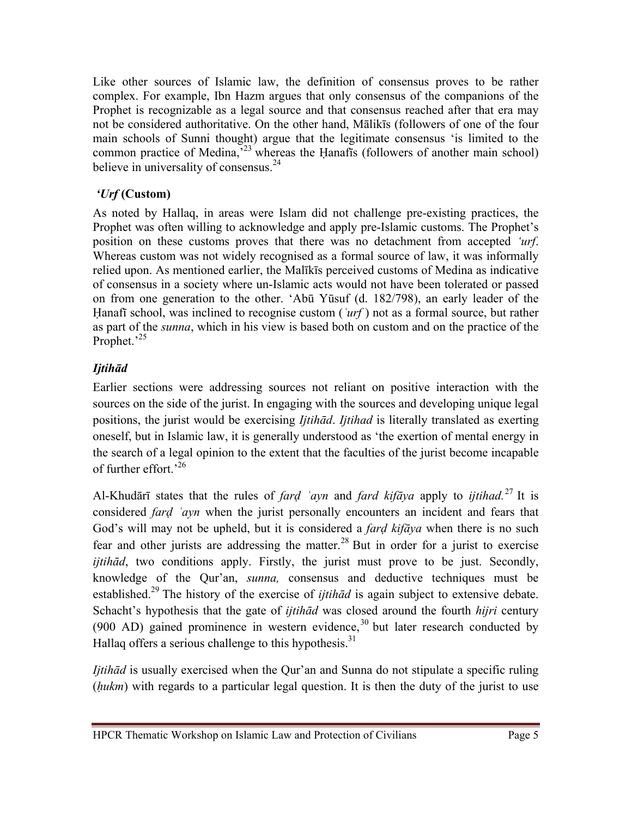Like other sources of Islamic law, the definition of consensus proves to be rather complex. For example, Ibn Hazm argues that only consensus of the companions of the Prophet is recognizable as a legal source and that consensus reached after that era may not be considered authoritative. On the other hand, Mālikīs (followers of one of the four main schools of Sunni thought) argue that the legitimate consensus 'is limited to the common practice of Medina,<sup>523</sup> whereas the Ḥanafīs (followers of another main school) believe in universality of consensus.<sup>24</sup>

# *'Urf* **(Custom)**

As noted by Hallaq, in areas were Islam did not challenge pre-existing practices, the Prophet was often willing to acknowledge and apply pre-Islamic customs. The Prophet's position on these customs proves that there was no detachment from accepted *'urf*. Whereas custom was not widely recognised as a formal source of law, it was informally relied upon. As mentioned earlier, the Malīkīs perceived customs of Medina as indicative of consensus in a society where un-Islamic acts would not have been tolerated or passed on from one generation to the other. 'Abū Yūsuf (d. 182/798), an early leader of the Ḥanafī school, was inclined to recognise custom (*ʿurf* ) not as a formal source, but rather as part of the *sunna*, which in his view is based both on custom and on the practice of the Prophet.<sup>'25</sup>

# *Ijtihād*

Earlier sections were addressing sources not reliant on positive interaction with the sources on the side of the jurist. In engaging with the sources and developing unique legal positions, the jurist would be exercising *Ijtihād*. *Ijtihad* is literally translated as exerting oneself, but in Islamic law, it is generally understood as 'the exertion of mental energy in the search of a legal opinion to the extent that the faculties of the jurist become incapable of further effort.'26

Al-Khudārī states that the rules of *fard 'ayn* and *fard kifāya* apply to *ijtihad.*<sup>27</sup> It is considered *farḍ ʿayn* when the jurist personally encounters an incident and fears that God's will may not be upheld, but it is considered a *farḍ kifāya* when there is no such fear and other jurists are addressing the matter.<sup>28</sup> But in order for a jurist to exercise *ijtihād*, two conditions apply. Firstly, the jurist must prove to be just. Secondly, knowledge of the Qur'an, *sunna,* consensus and deductive techniques must be established.29 The history of the exercise of *ijtihād* is again subject to extensive debate. Schacht's hypothesis that the gate of *ijtihād* was closed around the fourth *hijri* century (900 AD) gained prominence in western evidence,  $30$  but later research conducted by Hallaq offers a serious challenge to this hypothesis. $31$ 

*Ijtihād* is usually exercised when the Qur'an and Sunna do not stipulate a specific ruling (*ḥukm*) with regards to a particular legal question. It is then the duty of the jurist to use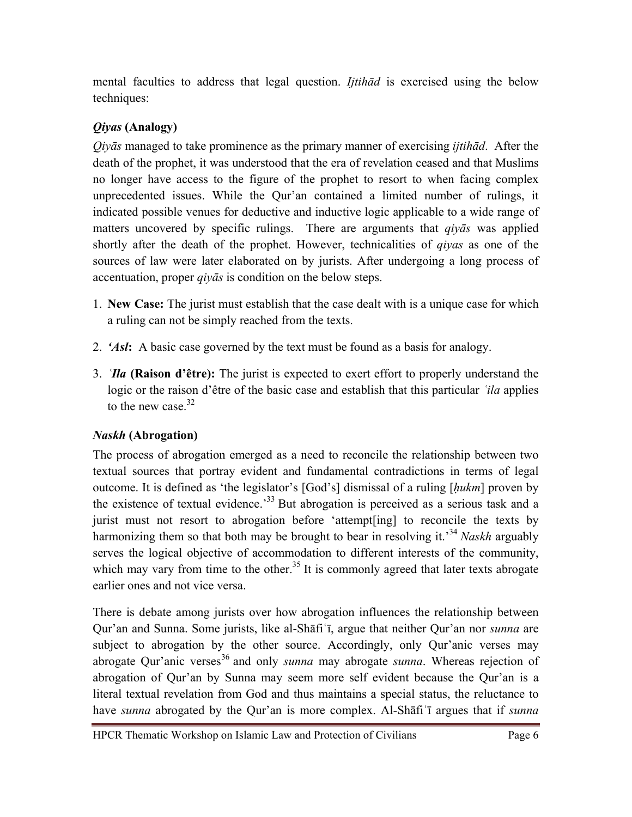mental faculties to address that legal question. *Ijtihād* is exercised using the below techniques:

# *Qiyas* **(Analogy)**

*Qiyās* managed to take prominence as the primary manner of exercising *ijtihād*. After the death of the prophet, it was understood that the era of revelation ceased and that Muslims no longer have access to the figure of the prophet to resort to when facing complex unprecedented issues. While the Qur'an contained a limited number of rulings, it indicated possible venues for deductive and inductive logic applicable to a wide range of matters uncovered by specific rulings. There are arguments that *qiyās* was applied shortly after the death of the prophet. However, technicalities of *qiyas* as one of the sources of law were later elaborated on by jurists. After undergoing a long process of accentuation, proper *qiyās* is condition on the below steps.

- 1. **New Case:** The jurist must establish that the case dealt with is a unique case for which a ruling can not be simply reached from the texts.
- 2. *'Asl***:** A basic case governed by the text must be found as a basis for analogy.
- 3. *ʿIla* **(Raison d'être):** The jurist is expected to exert effort to properly understand the logic or the raison d'être of the basic case and establish that this particular *ʿila* applies to the new case  $32$

# *Naskh* **(Abrogation)**

The process of abrogation emerged as a need to reconcile the relationship between two textual sources that portray evident and fundamental contradictions in terms of legal outcome. It is defined as 'the legislator's [God's] dismissal of a ruling [*ḥukm*] proven by the existence of textual evidence.<sup>33</sup> But abrogation is perceived as a serious task and a jurist must not resort to abrogation before 'attempt[ing] to reconcile the texts by harmonizing them so that both may be brought to bear in resolving it.'34 *Naskh* arguably serves the logical objective of accommodation to different interests of the community, which may vary from time to the other.<sup>35</sup> It is commonly agreed that later texts abrogate earlier ones and not vice versa.

There is debate among jurists over how abrogation influences the relationship between Qur'an and Sunna. Some jurists, like al-Shāfiʿī, argue that neither Qur'an nor *sunna* are subject to abrogation by the other source. Accordingly, only Qur'anic verses may abrogate Qur'anic verses<sup>36</sup> and only *sunna* may abrogate *sunna*. Whereas rejection of abrogation of Qur'an by Sunna may seem more self evident because the Qur'an is a literal textual revelation from God and thus maintains a special status, the reluctance to have *sunna* abrogated by the Qur'an is more complex. Al-Shāfiʿī argues that if *sunna*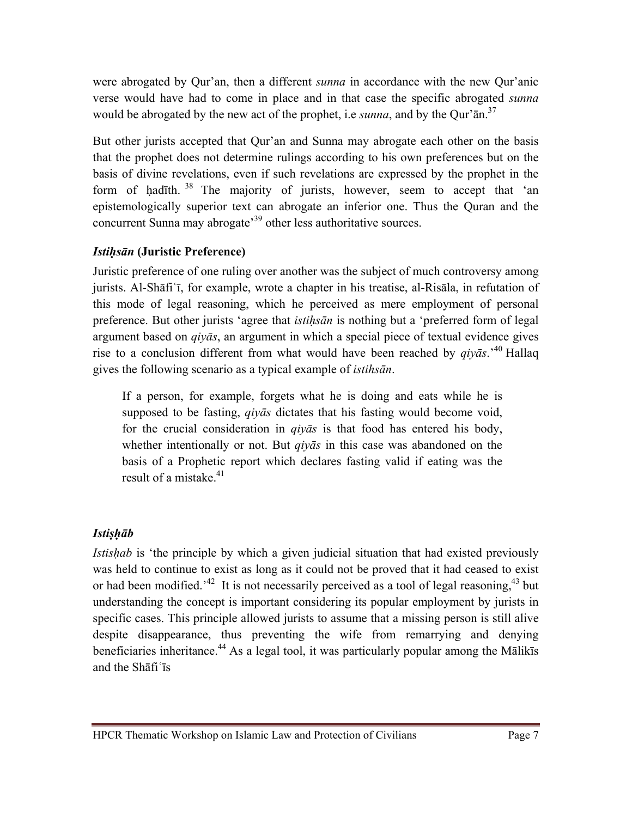were abrogated by Qur'an, then a different *sunna* in accordance with the new Qur'anic verse would have had to come in place and in that case the specific abrogated *sunna* would be abrogated by the new act of the prophet, i.e *sunna*, and by the Qur'ān.37

But other jurists accepted that Qur'an and Sunna may abrogate each other on the basis that the prophet does not determine rulings according to his own preferences but on the basis of divine revelations, even if such revelations are expressed by the prophet in the form of hadīth.  $38$  The majority of jurists, however, seem to accept that 'an epistemologically superior text can abrogate an inferior one. Thus the Quran and the concurrent Sunna may abrogate'39 other less authoritative sources.

### *Istiḥsān* **(Juristic Preference)**

Juristic preference of one ruling over another was the subject of much controversy among jurists. Al-Shāfiʿī, for example, wrote a chapter in his treatise, al-Risāla, in refutation of this mode of legal reasoning, which he perceived as mere employment of personal preference. But other jurists 'agree that *istiḥsān* is nothing but a 'preferred form of legal argument based on *qiyās*, an argument in which a special piece of textual evidence gives rise to a conclusion different from what would have been reached by *qiyās*.'40 Hallaq gives the following scenario as a typical example of *istihsān*.

If a person, for example, forgets what he is doing and eats while he is supposed to be fasting, *qiyās* dictates that his fasting would become void, for the crucial consideration in *qiyās* is that food has entered his body, whether intentionally or not. But *qiyās* in this case was abandoned on the basis of a Prophetic report which declares fasting valid if eating was the result of a mistake  $^{41}$ .

# *Istiṣḥāb*

*Istishab* is 'the principle by which a given judicial situation that had existed previously was held to continue to exist as long as it could not be proved that it had ceased to exist or had been modified.<sup> $32$ </sup> It is not necessarily perceived as a tool of legal reasoning.<sup>43</sup> but understanding the concept is important considering its popular employment by jurists in specific cases. This principle allowed jurists to assume that a missing person is still alive despite disappearance, thus preventing the wife from remarrying and denying beneficiaries inheritance.<sup>44</sup> As a legal tool, it was particularly popular among the Mālikīs and the Shāfiʿīs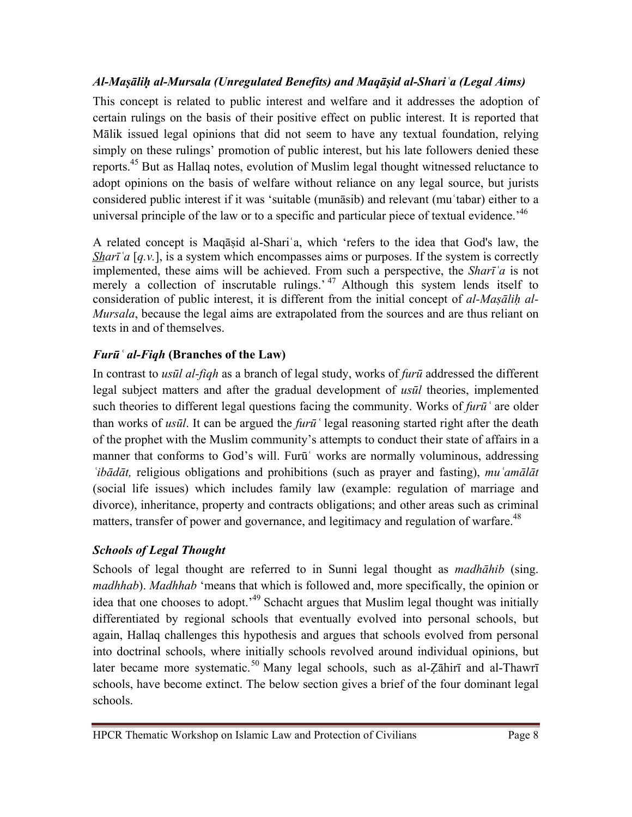# *Al-Maṣāliḥ al-Mursala (Unregulated Benefits) and Maqāṣid al-Shariʿa (Legal Aims)*

This concept is related to public interest and welfare and it addresses the adoption of certain rulings on the basis of their positive effect on public interest. It is reported that Mālik issued legal opinions that did not seem to have any textual foundation, relying simply on these rulings' promotion of public interest, but his late followers denied these reports.45 But as Hallaq notes, evolution of Muslim legal thought witnessed reluctance to adopt opinions on the basis of welfare without reliance on any legal source, but jurists considered public interest if it was 'suitable (munāsib) and relevant (muʿtabar) either to a universal principle of the law or to a specific and particular piece of textual evidence.<sup>46</sup>

A related concept is Maqāṣid al-Shariʿa, which 'refers to the idea that God's law, the *Sharī*<sup> $\alpha$ </sup> [*q.v.*], is a system which encompasses aims or purposes. If the system is correctly implemented, these aims will be achieved. From such a perspective, the *Sharīʿa* is not merely a collection of inscrutable rulings.<sup>47</sup> Although this system lends itself to consideration of public interest, it is different from the initial concept of *al-Masalih al-Mursala*, because the legal aims are extrapolated from the sources and are thus reliant on texts in and of themselves.

# *Furūʿ al-Fiqh* **(Branches of the Law)**

In contrast to *usūl al-fiqh* as a branch of legal study, works of *furū* addressed the different legal subject matters and after the gradual development of *usūl* theories, implemented such theories to different legal questions facing the community. Works of *furūʿ* are older than works of *usūl*. It can be argued the *furūʿ* legal reasoning started right after the death of the prophet with the Muslim community's attempts to conduct their state of affairs in a manner that conforms to God's will. Furū works are normally voluminous, addressing *ʿibādāt,* religious obligations and prohibitions (such as prayer and fasting), *muʿamālāt*  (social life issues) which includes family law (example: regulation of marriage and divorce), inheritance, property and contracts obligations; and other areas such as criminal matters, transfer of power and governance, and legitimacy and regulation of warfare.<sup>48</sup>

# *Schools of Legal Thought*

Schools of legal thought are referred to in Sunni legal thought as *madhāhib* (sing. *madhhab*). *Madhhab* 'means that which is followed and, more specifically, the opinion or idea that one chooses to adopt.<sup>49</sup> Schacht argues that Muslim legal thought was initially differentiated by regional schools that eventually evolved into personal schools, but again, Hallaq challenges this hypothesis and argues that schools evolved from personal into doctrinal schools, where initially schools revolved around individual opinions, but later became more systematic.<sup>50</sup> Many legal schools, such as al-Zāhirī and al-Thawrī schools, have become extinct. The below section gives a brief of the four dominant legal schools.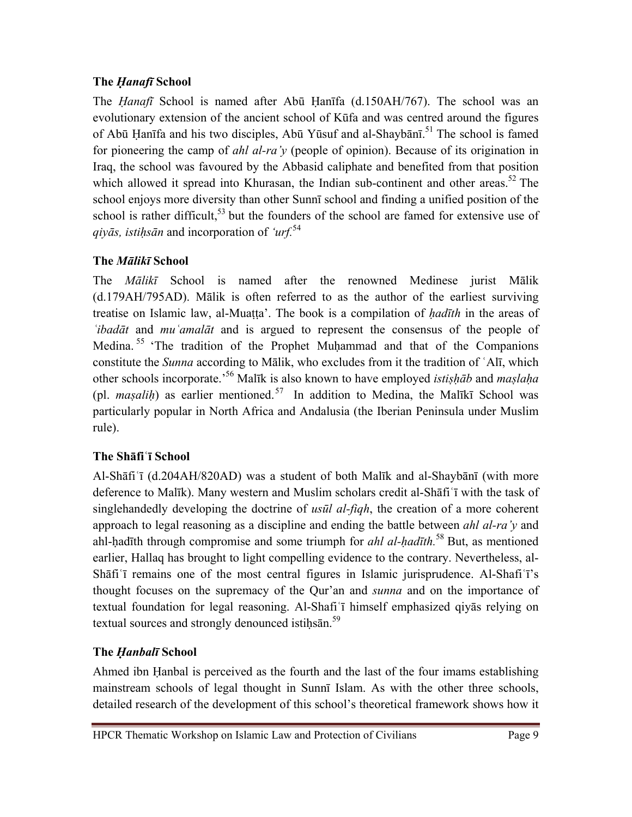### **The** *Ḥanafī* **School**

The *Ḥanafī* School is named after Abū Ḥanīfa (d.150AH/767). The school was an evolutionary extension of the ancient school of Kūfa and was centred around the figures of Abū Ḥanīfa and his two disciples, Abū Yūsuf and al-Shaybānī.<sup>51</sup> The school is famed for pioneering the camp of *ahl al-ra'y* (people of opinion). Because of its origination in Iraq, the school was favoured by the Abbasid caliphate and benefited from that position which allowed it spread into Khurasan, the Indian sub-continent and other areas.<sup>52</sup> The school enjoys more diversity than other Sunnī school and finding a unified position of the school is rather difficult,  $53$  but the founders of the school are famed for extensive use of *qiyās, istiḥsān* and incorporation of *'urf.*<sup>54</sup>

# **The** *Mālikī* **School**

The *Mālikī* School is named after the renowned Medinese jurist Mālik (d.179AH/795AD). Mālik is often referred to as the author of the earliest surviving treatise on Islamic law, al-Muaṭṭa'. The book is a compilation of *ḥadīth* in the areas of *ʿibadāt* and *muʿamalāt* and is argued to represent the consensus of the people of Medina.<sup>55</sup> 'The tradition of the Prophet Muḥammad and that of the Companions constitute the *Sunna* according to Mālik, who excludes from it the tradition of ʿAlī, which other schools incorporate.'56 Malīk is also known to have employed *istiṣḥāb* and *maṣlaḥa* (pl. *masalih*) as earlier mentioned.<sup>57</sup> In addition to Medina, the Malīkī School was particularly popular in North Africa and Andalusia (the Iberian Peninsula under Muslim rule).

# **The Shāfiʿī School**

Al-Shāfiʿī (d.204AH/820AD) was a student of both Malīk and al-Shaybānī (with more deference to Malīk). Many western and Muslim scholars credit al-Shāfiʿī with the task of singlehandedly developing the doctrine of *usūl al-fiqh*, the creation of a more coherent approach to legal reasoning as a discipline and ending the battle between *ahl al-ra'y* and ahl-hadīth through compromise and some triumph for *ahl al-hadīth*.<sup>58</sup> But, as mentioned earlier, Hallaq has brought to light compelling evidence to the contrary. Nevertheless, al-Shāfiʿī remains one of the most central figures in Islamic jurisprudence. Al-Shafiʿī's thought focuses on the supremacy of the Qur'an and *sunna* and on the importance of textual foundation for legal reasoning. Al-Shafiʿī himself emphasized qiyās relying on textual sources and strongly denounced istiḥsān.<sup>59</sup>

# **The** *Ḥanbalī* **School**

Ahmed ibn Ḥanbal is perceived as the fourth and the last of the four imams establishing mainstream schools of legal thought in Sunnī Islam. As with the other three schools, detailed research of the development of this school's theoretical framework shows how it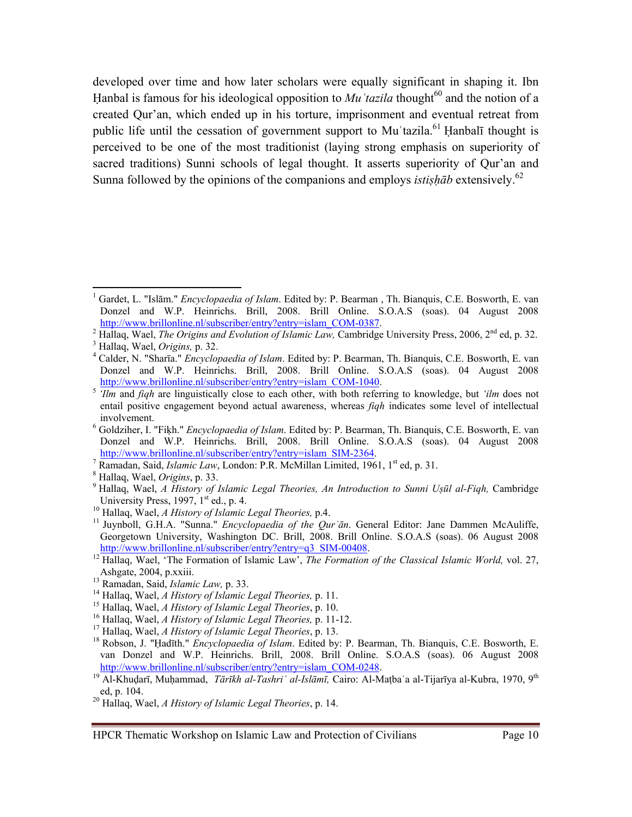developed over time and how later scholars were equally significant in shaping it. Ibn Hanbal is famous for his ideological opposition to  $Mu^t$  *tazila* thought<sup>60</sup> and the notion of a created Qur'an, which ended up in his torture, imprisonment and eventual retreat from public life until the cessation of government support to Muʿtazila.<sup>61</sup> Hanbalī thought is perceived to be one of the most traditionist (laying strong emphasis on superiority of sacred traditions) Sunni schools of legal thought. It asserts superiority of Qur'an and Sunna followed by the opinions of the companions and employs *istishab* extensively.<sup>62</sup>

<sup>&</sup>lt;sup>1</sup> Gardet, L. "Islām." *Encyclopaedia of Islam*. Edited by: P. Bearman, Th. Bianquis, C.E. Bosworth, E. van Donzel and W.P. Heinrichs. Brill, 2008. Brill Online. S.O.A.S (soas). 04 August 2008 http://www.brillonline.nl/subscriber/entry?entry=islam\_COM-0387.

<sup>&</sup>lt;sup>2</sup> Hallaq, Wael, *The Origins and Evolution of Islamic Law*, Cambridge University Press, 2006, 2<sup>nd</sup> ed, p. 32.

Hallaq, Wael, *Origins,* p. 32. 4

Calder, N. "Sharīa." *Encyclopaedia of Islam*. Edited by: P. Bearman, Th. Bianquis, C.E. Bosworth, E. van Donzel and W.P. Heinrichs. Brill, 2008. Brill Online. S.O.A.S (soas). 04 August 2008<br>http://www.brillonline.nl/subscriber/entry?entry=islam\_COM-1040.

 $\frac{1}{2}$  *Ilm* and *figh* are linguistically close to each other, with both referring to knowledge, but *'ilm* does not entail positive engagement beyond actual awareness, whereas *fiqh* indicates some level of intellectual involvement.<br><sup>6</sup> Goldziher, I. "Fiķh." *Encyclopaedia of Islam*. Edited by: P. Bearman, Th. Bianquis, C.E. Bosworth, E. van

Donzel and W.P. Heinrichs. Brill, 2008. Brill Online. S.O.A.S (soas). 04 August 2008 http://www.brillonline.nl/subscriber/entry?entry=islam\_SIM-2364.

<sup>&</sup>lt;sup>7</sup> Ramadan, Said, *Islamic Law*, London: P.R. McMillan Limited, 1961, 1<sup>st</sup> ed, p. 31.

Hallaq, Wael, *Origins*, p. 33. 9

<sup>&</sup>lt;sup>9</sup> Hallaq, Wael, *A History of Islamic Legal Theories, An Introduction to Sunni Ușul al-Fiqh, Cambridge University Press, 1997, 1<sup>st</sup> ed., p. 4.* 

University Press, 1997, 1998, 1997, 1998, 10<br><sup>10</sup> Hallaq, Wael, *A History of Islamic Legal Theories*, p.4.<br><sup>11</sup> Juynboll, G.H.A. "Sunna." *Encyclopaedia of the Qur'ān*. General Editor: Jane Dammen McAuliffe, Georgetown University, Washington DC. Brill, 2008. Brill Online. S.O.A.S (soas). 06 August 2008

http://www.brillonline.nl/subscriber/entry?entry=q3\_SIM-00408.<br>
<sup>12</sup> Hallaq, Wael, 'The Formation of Islamic Law', *The Formation of the Classical Islamic World*, vol. 27,<br>
<sup>13</sup> Ramadan, Said, *Islamic Law*, p. 33.

<sup>&</sup>lt;sup>14</sup> Hallaq, Wael, *A History of Islamic Legal Theories*, p. 11.<br><sup>15</sup> Hallaq, Wael, *A History of Islamic Legal Theories*, p. 10.<br><sup>16</sup> Hallaq, Wael, *A History of Islamic Legal Theories*, p. 11-12.<br><sup>17</sup> Hallaq, Wael, *A H* van Donzel and W.P. Heinrichs. Brill, 2008. Brill Online. S.O.A.S (soas). 06 August 2008 http://www.brillonline.nl/subscriber/entry?entry=islam\_COM-0248.<br><sup>19</sup> Al-Khudarī, Muḥammad, *Tārīkh al-Tashriʿal-Islāmī*, Cairo: Al-Maṭbaʿa al-Tijarīya al-Kubra, 1970, 9<sup>th</sup>

ed, p. 104. 20 Hallaq, Wael, *A History of Islamic Legal Theories*, p. 14.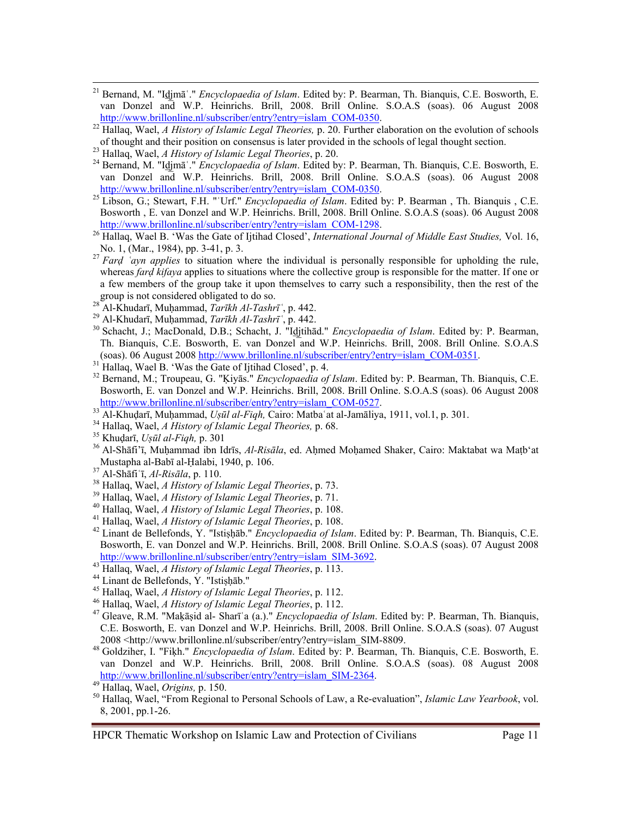- <sup>21</sup> Bernand, M. "Idiena<sup>s"</sup>." *Encyclopaedia of Islam*. Edited by: P. Bearman, Th. Bianquis, C.E. Bosworth, E. van Donzel and W.P. Heinrichs. Brill, 2008. Brill Online. S.O.A.S (soas). 06 August 2008<br>http://www.brillonline.nl/subscriber/entry?entry=islam\_COM-0350.
- <sup>22</sup> Hallaq, Wael, *A History of Islamic Legal Theories*, p. 20. Further elaboration on the evolution of schools of thought and their position on consensus is later provided in the schools of legal thought section.
- of thought and their position on consensus is later provided in the schools of legal thought section.<br><sup>23</sup> Hallaq, Wael, *A History of Islamic Legal Theories*, p. 20.<br><sup>24</sup> Bernand, M. "I<u>d</u>jmāʿ." *Encyclopaedia of Islam*. van Donzel and W.P. Heinrichs. Brill, 2008. Brill Online. S.O.A.S (soas). 06 August 2008 http://www.brillonline.nl/subscriber/entry?entry=islam\_COM-0350. 25 Libson, G.; Stewart, F.H. "ʿUrf." *Encyclopaedia of Islam*. Edited by: P. Bearman , Th. Bianquis , C.E.
- Bosworth , E. van Donzel and W.P. Heinrichs. Brill, 2008. Brill Online. S.O.A.S (soas). 06 August 2008
- http://www.brillonline.nl/subscriber/entry?entry=islam\_COM-1298.<br><sup>26</sup> Hallaq, Wael B. 'Was the Gate of Ijtihad Closed', *International Journal of Middle East Studies*, Vol. 16,<br>No. 1, (Mar., 1984), pp. 3-41, p. 3.
- No. 1, (Mar., 1984), pp. 3-41, p. 3. 27 *Far<sup>ḍ</sup> <sup>ʿ</sup>ayn applies* to situation where the individual is personally responsible for upholding the rule, whereas *fard kifaya* applies to situations where the collective group is responsible for the matter. If one or a few members of the group take it upon themselves to carry such a responsibility, then the rest of the group is not considered obligated to do so.<br><sup>28</sup> Al Khyders Muhammed  $T_2 = 1$ , the  $T_1 = 1$
- <sup>28</sup>Al-Khudarī, Muhammad, *Tarīkh Al-Tashrī*<sup>6</sup>, p. 442.<br><sup>29</sup> Al-Khudarī, Muhammad, *Tarīkh Al-Tashrī*<sup>6</sup>, p. 442.
- 
- <sup>30</sup> Schacht, J.; MacDonald, D.B.; Schacht, J. "Idjtihād." *Encyclopaedia of Islam*. Edited by: P. Bearman, Th. Bianquis, C.E. Bosworth, E. van Donzel and W.P. Heinrichs. Brill, 2008. Brill Online. S.O.A.S (soas). 06 August 2008 http://www.brillonline.nl/subscriber/entry?entry=islam\_COM-0351. 31 Hallaq, Wael B. 'Was the Gate of Ijtihad Closed', p. 4.
- 
- <sup>32</sup> Bernand, M.; Troupeau, G. "Kiyas." *Encyclopaedia of Islam*. Edited by: P. Bearman, Th. Bianquis, C.E. Bosworth, E. van Donzel and W.P. Heinrichs. Brill, 2008. Brill Online. S.O.A.S (soas). 06 August 2008
- 
- 
- 
- $\frac{\text{http://www.brillonline.nl/subscriber/entry='slam COM-0527}}{13}$ Al-Khudarī, Muhammad, Uşūl al-Fiqh, Cairo: Matbaʿat al-Jamāliya, 1911, vol.1, p. 301.<br>
<sup>34</sup> Hallaq, Wael, *A History of Islamic Legal Theories*, p. 68.<br>
<sup>35</sup> Khudarī, Uşūl al-Fiqh, p. 3
- 
- 
- 
- 
- 
- <sup>37</sup> Al-Shāfi ī, *Al-Risāla*, p. 110.<br><sup>38</sup> Hallaq, Wael, *A History of Islamic Legal Theories*, p. 73.<br><sup>39</sup> Hallaq, Wael, *A History of Islamic Legal Theories*, p. 71.<br><sup>40</sup> Hallaq, Wael, *A History of Islamic Legal Theorie* Bosworth, E. van Donzel and W.P. Heinrichs. Brill, 2008. Brill Online. S.O.A.S (soas). 07 August 2008 http://www.brillonline.nl/subscriber/entry?entry=islam\_SIM-3692.<br>
43 Hallaq, Wael, A History of Islamic Legal Theories, p. 113.<br>
44 Linant de Bellefonds, Y. "Istishab."<br>
45 Hallaq, Wael, A History of Islamic Legal Theories
- 
- 
- 
- 
- C.E. Bosworth, E. van Donzel and W.P. Heinrichs. Brill, 2008. Brill Online. S.O.A.S (soas). 07 August 2008 <http://www.brillonline.nl/subscriber/entry?entry=islam\_SIM-8809. 48 Goldziher, I. "Fiḳh." *Encyclopaedia of Islam*. Edited by: P. Bearman, Th. Bianquis, C.E. Bosworth, E.
- van Donzel and W.P. Heinrichs. Brill, 2008. Brill Online. S.O.A.S (soas). 08 August 2008<br>http://www.brillonline.nl/subscriber/entry?entry=islam SIM-2364.

http://www.brillonline.nline.nline.nline.nline.nline.nline.nline.nline.nline.nline.nline.nline.nline.nline.nli<br><sup>50</sup> Hallaq, Wael, "From Regional to Personal Schools of Law, a Re-evaluation", *Islamic Law Yearbook*, vol. 8, 2001, pp.1-26.

HPCR Thematic Workshop on Islamic Law and Protection of Civilians Page 11